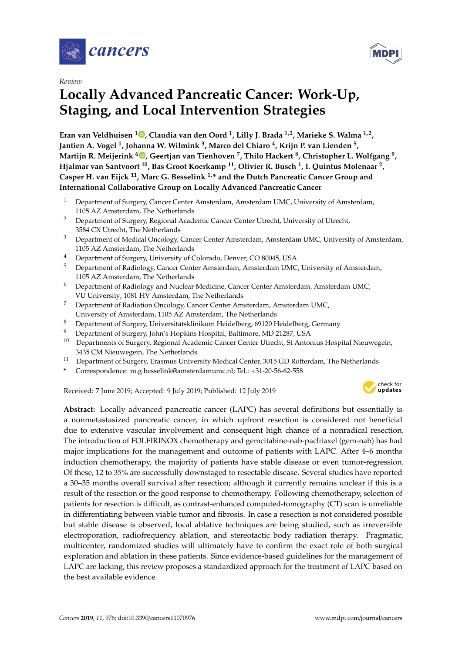

*Review*

# **Locally Advanced Pancreatic Cancer: Work-Up, Staging, and Local Intervention Strategies**

**Eran van Veldhuisen <sup>1</sup> [,](https://orcid.org/0000-0002-5664-2286) Claudia van den Oord <sup>1</sup> , Lilly J. Brada 1,2, Marieke S. Walma 1,2 , Jantien A. Vogel <sup>1</sup> , Johanna W. Wilmink <sup>3</sup> , Marco del Chiaro <sup>4</sup> , Krijn P. van Lienden <sup>5</sup> , Martijn R. Meijerink <sup>6</sup> [,](https://orcid.org/0000-0002-1500-7294) Geertjan van Tienhoven <sup>7</sup> , Thilo Hackert <sup>8</sup> , Christopher L. Wolfgang <sup>9</sup> , Hjalmar van Santvoort <sup>10</sup>, Bas Groot Koerkamp <sup>11</sup>, Olivier R. Busch <sup>1</sup> , I. Quintus Molenaar <sup>2</sup> , Casper H. van Eijck <sup>11</sup>, Marc G. Besselink 1,\* and the Dutch Pancreatic Cancer Group and International Collaborative Group on Locally Advanced Pancreatic Cancer**

- <sup>1</sup> Department of Surgery, Cancer Center Amsterdam, Amsterdam UMC, University of Amsterdam, 1105 AZ Amsterdam, The Netherlands
- <sup>2</sup> Department of Surgery, Regional Academic Cancer Center Utrecht, University of Utrecht, 3584 CX Utrecht, The Netherlands
- <sup>3</sup> Department of Medical Oncology, Cancer Center Amsterdam, Amsterdam UMC, University of Amsterdam, 1105 AZ Amsterdam, The Netherlands
- <sup>4</sup> Department of Surgery, University of Colorado, Denver, CO 80045, USA
- <sup>5</sup> Department of Radiology, Cancer Center Amsterdam, Amsterdam UMC, University of Amsterdam, 1105 AZ Amsterdam, The Netherlands
- <sup>6</sup> Department of Radiology and Nuclear Medicine, Cancer Center Amsterdam, Amsterdam UMC, VU University, 1081 HV Amsterdam, The Netherlands
- <sup>7</sup> Department of Radiation Oncology, Cancer Center Amsterdam, Amsterdam UMC, University of Amsterdam, 1105 AZ Amsterdam, The Netherlands
- <sup>8</sup> Department of Surgery, Universitätsklinikum Heidelberg, 69120 Heidelberg, Germany
- <sup>9</sup> Department of Surgery, John's Hopkins Hospital, Baltimore, MD 21287, USA
- <sup>10</sup> Departments of Surgery, Regional Academic Cancer Center Utrecht, St Antonius Hospital Nieuwegein, 3435 CM Nieuwegein, The Netherlands
- <sup>11</sup> Department of Surgery, Erasmus University Medical Center, 3015 GD Rotterdam, The Netherlands
- **\*** Correspondence: m.g.besselink@amsterdamumc.nl; Tel.: +31-20-56-62-558

Received: 7 June 2019; Accepted: 9 July 2019; Published: 12 July 2019



**Abstract:** Locally advanced pancreatic cancer (LAPC) has several definitions but essentially is a nonmetastasized pancreatic cancer, in which upfront resection is considered not beneficial due to extensive vascular involvement and consequent high chance of a nonradical resection. The introduction of FOLFIRINOX chemotherapy and gemcitabine-nab-paclitaxel (gem-nab) has had major implications for the management and outcome of patients with LAPC. After 4–6 months induction chemotherapy, the majority of patients have stable disease or even tumor-regression. Of these, 12 to 35% are successfully downstaged to resectable disease. Several studies have reported a 30–35 months overall survival after resection; although it currently remains unclear if this is a result of the resection or the good response to chemotherapy. Following chemotherapy, selection of patients for resection is difficult, as contrast-enhanced computed-tomography (CT) scan is unreliable in differentiating between viable tumor and fibrosis. In case a resection is not considered possible but stable disease is observed, local ablative techniques are being studied, such as irreversible electroporation, radiofrequency ablation, and stereotactic body radiation therapy. Pragmatic, multicenter, randomized studies will ultimately have to confirm the exact role of both surgical exploration and ablation in these patients. Since evidence-based guidelines for the management of LAPC are lacking, this review proposes a standardized approach for the treatment of LAPC based on the best available evidence.

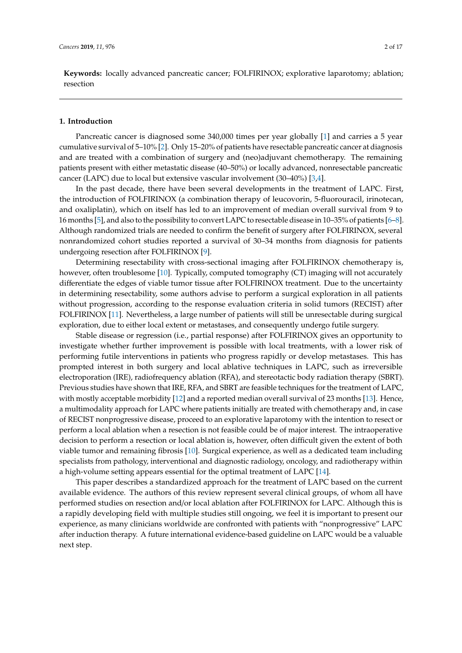**Keywords:** locally advanced pancreatic cancer; FOLFIRINOX; explorative laparotomy; ablation; resection

#### **1. Introduction**

Pancreatic cancer is diagnosed some 340,000 times per year globally [\[1\]](#page-11-0) and carries a 5 year cumulative survival of 5–10% [\[2\]](#page-11-1). Only 15–20% of patients have resectable pancreatic cancer at diagnosis and are treated with a combination of surgery and (neo)adjuvant chemotherapy. The remaining patients present with either metastatic disease (40–50%) or locally advanced, nonresectable pancreatic cancer (LAPC) due to local but extensive vascular involvement (30–40%) [\[3,](#page-11-2)[4\]](#page-11-3).

In the past decade, there have been several developments in the treatment of LAPC. First, the introduction of FOLFIRINOX (a combination therapy of leucovorin, 5-fluorouracil, irinotecan, and oxaliplatin), which on itself has led to an improvement of median overall survival from 9 to 16 months [\[5\]](#page-11-4), and also to the possibility to convert LAPC to resectable disease in 10–35% of patients [\[6–](#page-11-5)[8\]](#page-12-0). Although randomized trials are needed to confirm the benefit of surgery after FOLFIRINOX, several nonrandomized cohort studies reported a survival of 30–34 months from diagnosis for patients undergoing resection after FOLFIRINOX [\[9\]](#page-12-1).

Determining resectability with cross-sectional imaging after FOLFIRINOX chemotherapy is, however, often troublesome [\[10\]](#page-12-2). Typically, computed tomography (CT) imaging will not accurately differentiate the edges of viable tumor tissue after FOLFIRINOX treatment. Due to the uncertainty in determining resectability, some authors advise to perform a surgical exploration in all patients without progression, according to the response evaluation criteria in solid tumors (RECIST) after FOLFIRINOX [\[11\]](#page-12-3). Nevertheless, a large number of patients will still be unresectable during surgical exploration, due to either local extent or metastases, and consequently undergo futile surgery.

Stable disease or regression (i.e., partial response) after FOLFIRINOX gives an opportunity to investigate whether further improvement is possible with local treatments, with a lower risk of performing futile interventions in patients who progress rapidly or develop metastases. This has prompted interest in both surgery and local ablative techniques in LAPC, such as irreversible electroporation (IRE), radiofrequency ablation (RFA), and stereotactic body radiation therapy (SBRT). Previous studies have shown that IRE, RFA, and SBRT are feasible techniques for the treatment of LAPC, with mostly acceptable morbidity [\[12\]](#page-12-4) and a reported median overall survival of 23 months [\[13\]](#page-12-5). Hence, a multimodality approach for LAPC where patients initially are treated with chemotherapy and, in case of RECIST nonprogressive disease, proceed to an explorative laparotomy with the intention to resect or perform a local ablation when a resection is not feasible could be of major interest. The intraoperative decision to perform a resection or local ablation is, however, often difficult given the extent of both viable tumor and remaining fibrosis [\[10\]](#page-12-2). Surgical experience, as well as a dedicated team including specialists from pathology, interventional and diagnostic radiology, oncology, and radiotherapy within a high-volume setting appears essential for the optimal treatment of LAPC [\[14\]](#page-12-6).

This paper describes a standardized approach for the treatment of LAPC based on the current available evidence. The authors of this review represent several clinical groups, of whom all have performed studies on resection and/or local ablation after FOLFIRINOX for LAPC. Although this is a rapidly developing field with multiple studies still ongoing, we feel it is important to present our experience, as many clinicians worldwide are confronted with patients with "nonprogressive" LAPC after induction therapy. A future international evidence-based guideline on LAPC would be a valuable next step.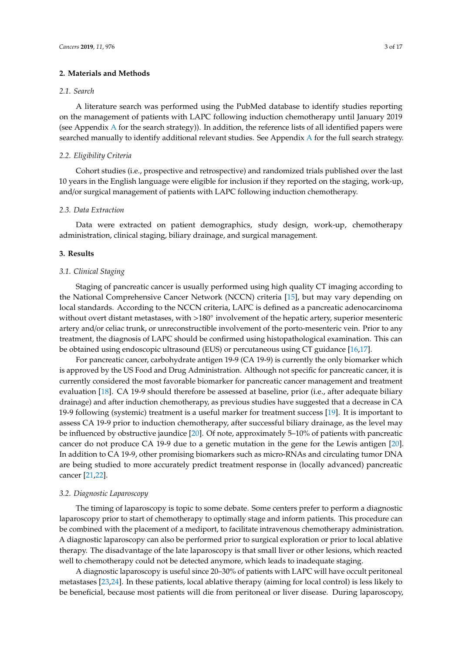#### **2. Materials and Methods**

#### *2.1. Search*

A literature search was performed using the PubMed database to identify studies reporting on the management of patients with LAPC following induction chemotherapy until January 2019 (see Appendix [A](#page-11-6) for the search strategy)). In addition, the reference lists of all identified papers were searched manually to identify additional relevant studies. See Appendix [A](#page-11-6) for the full search strategy.

## *2.2. Eligibility Criteria*

Cohort studies (i.e., prospective and retrospective) and randomized trials published over the last 10 years in the English language were eligible for inclusion if they reported on the staging, work-up, and/or surgical management of patients with LAPC following induction chemotherapy.

## *2.3. Data Extraction*

Data were extracted on patient demographics, study design, work-up, chemotherapy administration, clinical staging, biliary drainage, and surgical management.

## **3. Results**

#### *3.1. Clinical Staging*

Staging of pancreatic cancer is usually performed using high quality CT imaging according to the National Comprehensive Cancer Network (NCCN) criteria [\[15\]](#page-12-7), but may vary depending on local standards. According to the NCCN criteria, LAPC is defined as a pancreatic adenocarcinoma without overt distant metastases, with >180° involvement of the hepatic artery, superior mesenteric artery and/or celiac trunk, or unreconstructible involvement of the porto-mesenteric vein. Prior to any treatment, the diagnosis of LAPC should be confirmed using histopathological examination. This can be obtained using endoscopic ultrasound (EUS) or percutaneous using CT guidance [\[16](#page-12-8)[,17\]](#page-12-9).

For pancreatic cancer, carbohydrate antigen 19-9 (CA 19-9) is currently the only biomarker which is approved by the US Food and Drug Administration. Although not specific for pancreatic cancer, it is currently considered the most favorable biomarker for pancreatic cancer management and treatment evaluation [\[18\]](#page-12-10). CA 19-9 should therefore be assessed at baseline, prior (i.e., after adequate biliary drainage) and after induction chemotherapy, as previous studies have suggested that a decrease in CA 19-9 following (systemic) treatment is a useful marker for treatment success [\[19\]](#page-12-11). It is important to assess CA 19-9 prior to induction chemotherapy, after successful biliary drainage, as the level may be influenced by obstructive jaundice [\[20\]](#page-12-12). Of note, approximately 5–10% of patients with pancreatic cancer do not produce CA 19-9 due to a genetic mutation in the gene for the Lewis antigen [\[20\]](#page-12-12). In addition to CA 19-9, other promising biomarkers such as micro-RNAs and circulating tumor DNA are being studied to more accurately predict treatment response in (locally advanced) pancreatic cancer [\[21,](#page-12-13)[22\]](#page-12-14).

#### *3.2. Diagnostic Laparoscopy*

The timing of laparoscopy is topic to some debate. Some centers prefer to perform a diagnostic laparoscopy prior to start of chemotherapy to optimally stage and inform patients. This procedure can be combined with the placement of a mediport, to facilitate intravenous chemotherapy administration. A diagnostic laparoscopy can also be performed prior to surgical exploration or prior to local ablative therapy. The disadvantage of the late laparoscopy is that small liver or other lesions, which reacted well to chemotherapy could not be detected anymore, which leads to inadequate staging.

A diagnostic laparoscopy is useful since 20–30% of patients with LAPC will have occult peritoneal metastases [\[23,](#page-13-0)[24\]](#page-13-1). In these patients, local ablative therapy (aiming for local control) is less likely to be beneficial, because most patients will die from peritoneal or liver disease. During laparoscopy,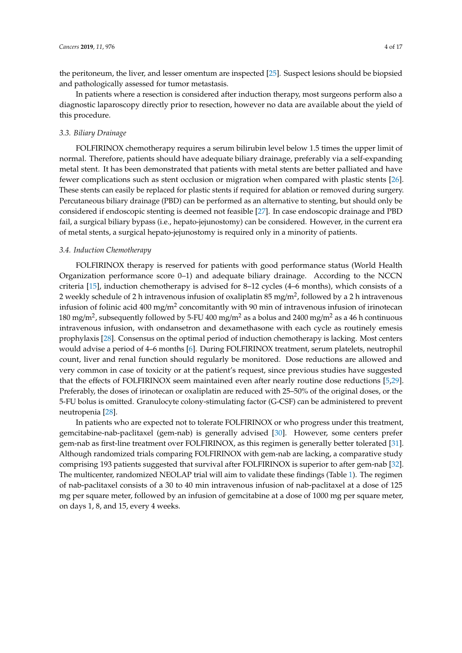the peritoneum, the liver, and lesser omentum are inspected [\[25\]](#page-13-2). Suspect lesions should be biopsied and pathologically assessed for tumor metastasis.

In patients where a resection is considered after induction therapy, most surgeons perform also a diagnostic laparoscopy directly prior to resection, however no data are available about the yield of this procedure.

#### *3.3. Biliary Drainage*

FOLFIRINOX chemotherapy requires a serum bilirubin level below 1.5 times the upper limit of normal. Therefore, patients should have adequate biliary drainage, preferably via a self-expanding metal stent. It has been demonstrated that patients with metal stents are better palliated and have fewer complications such as stent occlusion or migration when compared with plastic stents [\[26\]](#page-13-3). These stents can easily be replaced for plastic stents if required for ablation or removed during surgery. Percutaneous biliary drainage (PBD) can be performed as an alternative to stenting, but should only be considered if endoscopic stenting is deemed not feasible [\[27\]](#page-13-4). In case endoscopic drainage and PBD fail, a surgical biliary bypass (i.e., hepato-jejunostomy) can be considered. However, in the current era of metal stents, a surgical hepato-jejunostomy is required only in a minority of patients.

#### *3.4. Induction Chemotherapy*

FOLFIRINOX therapy is reserved for patients with good performance status (World Health Organization performance score 0–1) and adequate biliary drainage. According to the NCCN criteria [\[15\]](#page-12-7), induction chemotherapy is advised for 8–12 cycles (4–6 months), which consists of a 2 weekly schedule of 2 h intravenous infusion of oxaliplatin 85 mg/m<sup>2</sup>, followed by a 2 h intravenous infusion of folinic acid 400 mg/m<sup>2</sup> concomitantly with 90 min of intravenous infusion of irinotecan 180 mg/m<sup>2</sup>, subsequently followed by 5-FU 400 mg/m<sup>2</sup> as a bolus and 2400 mg/m<sup>2</sup> as a 46 h continuous intravenous infusion, with ondansetron and dexamethasone with each cycle as routinely emesis prophylaxis [\[28\]](#page-13-5). Consensus on the optimal period of induction chemotherapy is lacking. Most centers would advise a period of 4–6 months [\[6\]](#page-11-5). During FOLFIRINOX treatment, serum platelets, neutrophil count, liver and renal function should regularly be monitored. Dose reductions are allowed and very common in case of toxicity or at the patient's request, since previous studies have suggested that the effects of FOLFIRINOX seem maintained even after nearly routine dose reductions [\[5,](#page-11-4)[29\]](#page-13-6). Preferably, the doses of irinotecan or oxaliplatin are reduced with 25–50% of the original doses, or the 5-FU bolus is omitted. Granulocyte colony-stimulating factor (G-CSF) can be administered to prevent neutropenia [\[28\]](#page-13-5).

In patients who are expected not to tolerate FOLFIRINOX or who progress under this treatment, gemcitabine-nab-paclitaxel (gem-nab) is generally advised [\[30\]](#page-13-7). However, some centers prefer gem-nab as first-line treatment over FOLFIRINOX, as this regimen is generally better tolerated [\[31\]](#page-13-8). Although randomized trials comparing FOLFIRINOX with gem-nab are lacking, a comparative study comprising 193 patients suggested that survival after FOLFIRINOX is superior to after gem-nab [\[32\]](#page-13-9). The multicenter, randomized NEOLAP trial will aim to validate these findings (Table [1\)](#page-4-0). The regimen of nab-paclitaxel consists of a 30 to 40 min intravenous infusion of nab-paclitaxel at a dose of 125 mg per square meter, followed by an infusion of gemcitabine at a dose of 1000 mg per square meter, on days 1, 8, and 15, every 4 weeks.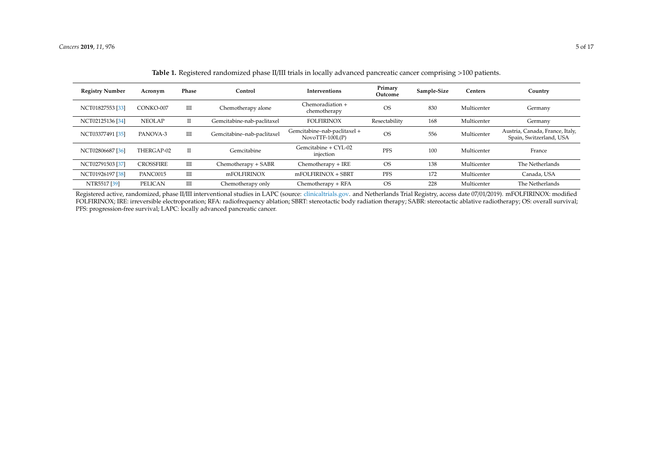| <b>Registry Number</b> | Acronym          | Phase        | Control                    | <b>Interventions</b>                              | Primary<br>Outcome | Sample-Size | Centers     | Country                                                    |
|------------------------|------------------|--------------|----------------------------|---------------------------------------------------|--------------------|-------------|-------------|------------------------------------------------------------|
| NCT01827553 [33]       | CONKO-007        | Ш            | Chemotherapy alone         | Chemoradiation +<br>chemotherapy                  | <b>OS</b>          | 830         | Multicenter | Germany                                                    |
| NCT02125136 [34]       | <b>NEOLAP</b>    | П            | Gemcitabine-nab-paclitaxel | <b>FOLFIRINOX</b>                                 | Resectability      | 168         | Multicenter | Germany                                                    |
| NCT03377491 [35]       | PANOVA-3         | Ш            | Gemcitabine-nab-paclitaxel | Gemcitabine-nab-paclitaxel +<br>$NovoTTF-100L(P)$ | <b>OS</b>          | 556         | Multicenter | Austria, Canada, France, Italy,<br>Spain, Switzerland, USA |
| NCT02806687 [36]       | THERGAP-02       | $\mathbf{I}$ | Gemcitabine                | Gemcitabine + CYL-02<br>injection                 | PFS                | 100         | Multicenter | France                                                     |
| NCT02791503 [37]       | <b>CROSSFIRE</b> | Ш            | Chemotherapy + SABR        | Chemotherapy + IRE                                | <b>OS</b>          | 138         | Multicenter | The Netherlands                                            |
| NCT01926197 [38]       | PANC0015         | Ш            | mFOLFIRINOX                | $m$ FOLFIRINOX + SBRT                             | PFS                | 172         | Multicenter | Canada, USA                                                |
| NTR5517 [39]           | <b>PELICAN</b>   | Ш            | Chemotherapy only          | Chemotherapy + RFA                                | <b>OS</b>          | 228         | Multicenter | The Netherlands                                            |

**Table 1.** Registered randomized phase II/III trials in locally advanced pancreatic cancer comprising >100 patients.

<span id="page-4-0"></span>Registered active, randomized, phase II/III interventional studies in LAPC (source: [clinicaltrials.gov.](clinicaltrials.gov) and Netherlands Trial Registry, access date 07/01/2019). mFOLFIRINOX: modified FOLFIRINOX; IRE: irreversible electroporation; RFA: radiofrequency ablation; SBRT: stereotactic body radiation therapy; SABR: stereotactic ablative radiotherapy; OS: overall survival; PFS: progression-free survival; LAPC: locally advanced pancreatic cancer.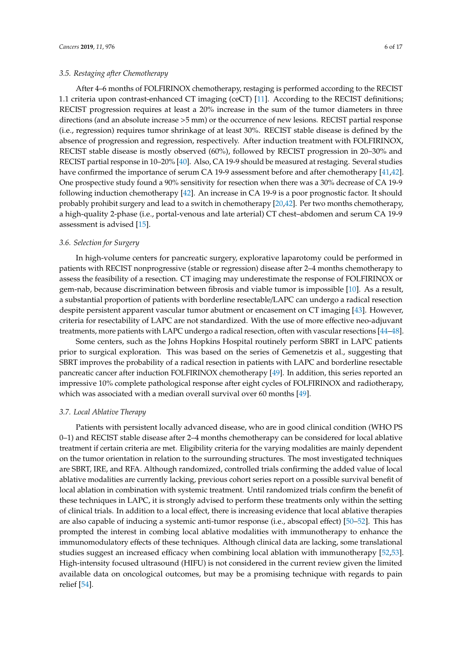#### *3.5. Restaging after Chemotherapy*

After 4–6 months of FOLFIRINOX chemotherapy, restaging is performed according to the RECIST 1.1 criteria upon contrast-enhanced CT imaging (ceCT) [\[11\]](#page-12-3). According to the RECIST definitions; RECIST progression requires at least a 20% increase in the sum of the tumor diameters in three directions (and an absolute increase >5 mm) or the occurrence of new lesions. RECIST partial response (i.e., regression) requires tumor shrinkage of at least 30%. RECIST stable disease is defined by the absence of progression and regression, respectively. After induction treatment with FOLFIRINOX, RECIST stable disease is mostly observed (60%), followed by RECIST progression in 20–30% and RECIST partial response in 10–20% [\[40\]](#page-13-16). Also, CA 19-9 should be measured at restaging. Several studies have confirmed the importance of serum CA 19-9 assessment before and after chemotherapy [\[41,](#page-13-17)[42\]](#page-14-0). One prospective study found a 90% sensitivity for resection when there was a 30% decrease of CA 19-9 following induction chemotherapy [\[42\]](#page-14-0). An increase in CA 19-9 is a poor prognostic factor. It should probably prohibit surgery and lead to a switch in chemotherapy [\[20](#page-12-12)[,42\]](#page-14-0). Per two months chemotherapy, a high-quality 2-phase (i.e., portal-venous and late arterial) CT chest–abdomen and serum CA 19-9 assessment is advised [\[15\]](#page-12-7).

#### *3.6. Selection for Surgery*

In high-volume centers for pancreatic surgery, explorative laparotomy could be performed in patients with RECIST nonprogressive (stable or regression) disease after 2–4 months chemotherapy to assess the feasibility of a resection. CT imaging may underestimate the response of FOLFIRINOX or gem-nab, because discrimination between fibrosis and viable tumor is impossible [\[10\]](#page-12-2). As a result, a substantial proportion of patients with borderline resectable/LAPC can undergo a radical resection despite persistent apparent vascular tumor abutment or encasement on CT imaging [\[43\]](#page-14-1). However, criteria for resectability of LAPC are not standardized. With the use of more effective neo-adjuvant treatments, more patients with LAPC undergo a radical resection, often with vascular resections [\[44–](#page-14-2)[48\]](#page-14-3).

Some centers, such as the Johns Hopkins Hospital routinely perform SBRT in LAPC patients prior to surgical exploration. This was based on the series of Gemenetzis et al., suggesting that SBRT improves the probability of a radical resection in patients with LAPC and borderline resectable pancreatic cancer after induction FOLFIRINOX chemotherapy [\[49\]](#page-14-4). In addition, this series reported an impressive 10% complete pathological response after eight cycles of FOLFIRINOX and radiotherapy, which was associated with a median overall survival over 60 months [\[49\]](#page-14-4).

## *3.7. Local Ablative Therapy*

Patients with persistent locally advanced disease, who are in good clinical condition (WHO PS 0–1) and RECIST stable disease after 2–4 months chemotherapy can be considered for local ablative treatment if certain criteria are met. Eligibility criteria for the varying modalities are mainly dependent on the tumor orientation in relation to the surrounding structures. The most investigated techniques are SBRT, IRE, and RFA. Although randomized, controlled trials confirming the added value of local ablative modalities are currently lacking, previous cohort series report on a possible survival benefit of local ablation in combination with systemic treatment. Until randomized trials confirm the benefit of these techniques in LAPC, it is strongly advised to perform these treatments only within the setting of clinical trials. In addition to a local effect, there is increasing evidence that local ablative therapies are also capable of inducing a systemic anti-tumor response (i.e., abscopal effect) [\[50–](#page-14-5)[52\]](#page-14-6). This has prompted the interest in combing local ablative modalities with immunotherapy to enhance the immunomodulatory effects of these techniques. Although clinical data are lacking, some translational studies suggest an increased efficacy when combining local ablation with immunotherapy [\[52,](#page-14-6)[53\]](#page-14-7). High-intensity focused ultrasound (HIFU) is not considered in the current review given the limited available data on oncological outcomes, but may be a promising technique with regards to pain relief [\[54\]](#page-14-8).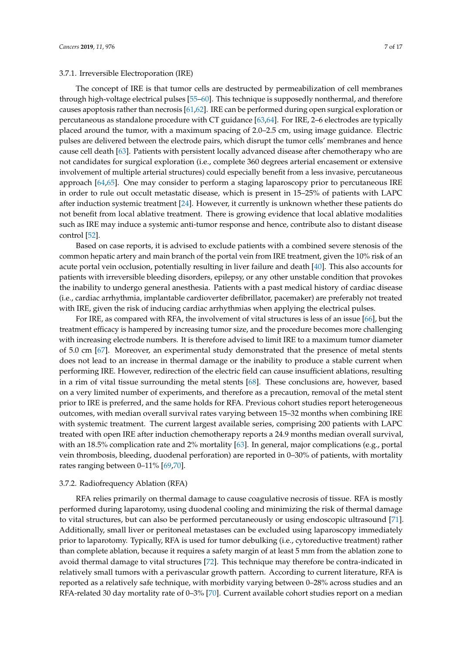## 3.7.1. Irreversible Electroporation (IRE)

The concept of IRE is that tumor cells are destructed by permeabilization of cell membranes through high-voltage electrical pulses [\[55–](#page-14-9)[60\]](#page-15-0). This technique is supposedly nonthermal, and therefore causes apoptosis rather than necrosis [\[61,](#page-15-1)[62\]](#page-15-2). IRE can be performed during open surgical exploration or percutaneous as standalone procedure with CT guidance [\[63,](#page-15-3)[64\]](#page-15-4). For IRE, 2–6 electrodes are typically placed around the tumor, with a maximum spacing of 2.0–2.5 cm, using image guidance. Electric pulses are delivered between the electrode pairs, which disrupt the tumor cells' membranes and hence cause cell death [\[63\]](#page-15-3). Patients with persistent locally advanced disease after chemotherapy who are not candidates for surgical exploration (i.e., complete 360 degrees arterial encasement or extensive involvement of multiple arterial structures) could especially benefit from a less invasive, percutaneous approach [\[64](#page-15-4)[,65\]](#page-15-5). One may consider to perform a staging laparoscopy prior to percutaneous IRE in order to rule out occult metastatic disease, which is present in 15–25% of patients with LAPC after induction systemic treatment [\[24\]](#page-13-1). However, it currently is unknown whether these patients do not benefit from local ablative treatment. There is growing evidence that local ablative modalities such as IRE may induce a systemic anti-tumor response and hence, contribute also to distant disease control [\[52\]](#page-14-6).

Based on case reports, it is advised to exclude patients with a combined severe stenosis of the common hepatic artery and main branch of the portal vein from IRE treatment, given the 10% risk of an acute portal vein occlusion, potentially resulting in liver failure and death [\[40\]](#page-13-16). This also accounts for patients with irreversible bleeding disorders, epilepsy, or any other unstable condition that provokes the inability to undergo general anesthesia. Patients with a past medical history of cardiac disease (i.e., cardiac arrhythmia, implantable cardioverter defibrillator, pacemaker) are preferably not treated with IRE, given the risk of inducing cardiac arrhythmias when applying the electrical pulses.

For IRE, as compared with RFA, the involvement of vital structures is less of an issue [\[66\]](#page-15-6), but the treatment efficacy is hampered by increasing tumor size, and the procedure becomes more challenging with increasing electrode numbers. It is therefore advised to limit IRE to a maximum tumor diameter of 5.0 cm [\[67\]](#page-15-7). Moreover, an experimental study demonstrated that the presence of metal stents does not lead to an increase in thermal damage or the inability to produce a stable current when performing IRE. However, redirection of the electric field can cause insufficient ablations, resulting in a rim of vital tissue surrounding the metal stents [\[68\]](#page-15-8). These conclusions are, however, based on a very limited number of experiments, and therefore as a precaution, removal of the metal stent prior to IRE is preferred, and the same holds for RFA. Previous cohort studies report heterogeneous outcomes, with median overall survival rates varying between 15–32 months when combining IRE with systemic treatment. The current largest available series, comprising 200 patients with LAPC treated with open IRE after induction chemotherapy reports a 24.9 months median overall survival, with an 18.5% complication rate and 2% mortality [\[63\]](#page-15-3). In general, major complications (e.g., portal vein thrombosis, bleeding, duodenal perforation) are reported in 0–30% of patients, with mortality rates ranging between 0–11% [\[69](#page-15-9)[,70\]](#page-15-10).

#### 3.7.2. Radiofrequency Ablation (RFA)

RFA relies primarily on thermal damage to cause coagulative necrosis of tissue. RFA is mostly performed during laparotomy, using duodenal cooling and minimizing the risk of thermal damage to vital structures, but can also be performed percutaneously or using endoscopic ultrasound [\[71\]](#page-15-11). Additionally, small liver or peritoneal metastases can be excluded using laparoscopy immediately prior to laparotomy. Typically, RFA is used for tumor debulking (i.e., cytoreductive treatment) rather than complete ablation, because it requires a safety margin of at least 5 mm from the ablation zone to avoid thermal damage to vital structures [\[72\]](#page-15-12). This technique may therefore be contra-indicated in relatively small tumors with a perivascular growth pattern. According to current literature, RFA is reported as a relatively safe technique, with morbidity varying between 0–28% across studies and an RFA-related 30 day mortality rate of 0–3% [\[70\]](#page-15-10). Current available cohort studies report on a median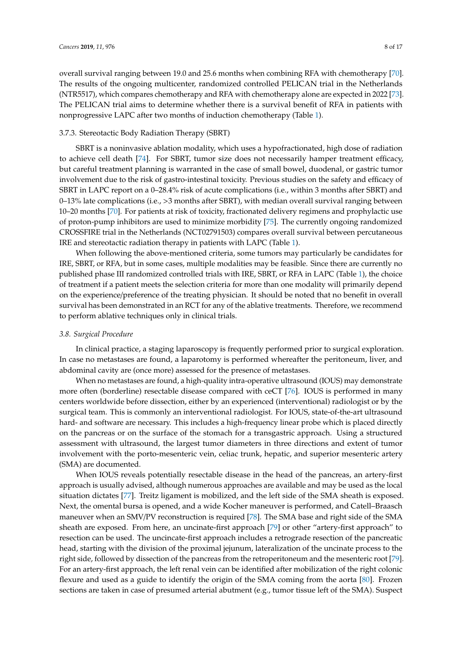overall survival ranging between 19.0 and 25.6 months when combining RFA with chemotherapy [\[70\]](#page-15-10). The results of the ongoing multicenter, randomized controlled PELICAN trial in the Netherlands (NTR5517), which compares chemotherapy and RFA with chemotherapy alone are expected in 2022 [\[73\]](#page-15-13). The PELICAN trial aims to determine whether there is a survival benefit of RFA in patients with nonprogressive LAPC after two months of induction chemotherapy (Table [1\)](#page-4-0).

## 3.7.3. Stereotactic Body Radiation Therapy (SBRT)

SBRT is a noninvasive ablation modality, which uses a hypofractionated, high dose of radiation to achieve cell death [\[74\]](#page-15-14). For SBRT, tumor size does not necessarily hamper treatment efficacy, but careful treatment planning is warranted in the case of small bowel, duodenal, or gastric tumor involvement due to the risk of gastro-intestinal toxicity. Previous studies on the safety and efficacy of SBRT in LAPC report on a 0–28.4% risk of acute complications (i.e., within 3 months after SBRT) and 0–13% late complications (i.e., >3 months after SBRT), with median overall survival ranging between 10–20 months [\[70\]](#page-15-10). For patients at risk of toxicity, fractionated delivery regimens and prophylactic use of proton-pump inhibitors are used to minimize morbidity [\[75\]](#page-15-15). The currently ongoing randomized CROSSFIRE trial in the Netherlands (NCT02791503) compares overall survival between percutaneous IRE and stereotactic radiation therapy in patients with LAPC (Table [1\)](#page-4-0).

When following the above-mentioned criteria, some tumors may particularly be candidates for IRE, SBRT, or RFA, but in some cases, multiple modalities may be feasible. Since there are currently no published phase III randomized controlled trials with IRE, SBRT, or RFA in LAPC (Table [1\)](#page-4-0), the choice of treatment if a patient meets the selection criteria for more than one modality will primarily depend on the experience/preference of the treating physician. It should be noted that no benefit in overall survival has been demonstrated in an RCT for any of the ablative treatments. Therefore, we recommend to perform ablative techniques only in clinical trials.

#### *3.8. Surgical Procedure*

In clinical practice, a staging laparoscopy is frequently performed prior to surgical exploration. In case no metastases are found, a laparotomy is performed whereafter the peritoneum, liver, and abdominal cavity are (once more) assessed for the presence of metastases.

When no metastases are found, a high-quality intra-operative ultrasound (IOUS) may demonstrate more often (borderline) resectable disease compared with ceCT [\[76\]](#page-15-16). IOUS is performed in many centers worldwide before dissection, either by an experienced (interventional) radiologist or by the surgical team. This is commonly an interventional radiologist. For IOUS, state-of-the-art ultrasound hard- and software are necessary. This includes a high-frequency linear probe which is placed directly on the pancreas or on the surface of the stomach for a transgastric approach. Using a structured assessment with ultrasound, the largest tumor diameters in three directions and extent of tumor involvement with the porto-mesenteric vein, celiac trunk, hepatic, and superior mesenteric artery (SMA) are documented.

When IOUS reveals potentially resectable disease in the head of the pancreas, an artery-first approach is usually advised, although numerous approaches are available and may be used as the local situation dictates [\[77\]](#page-16-0). Treitz ligament is mobilized, and the left side of the SMA sheath is exposed. Next, the omental bursa is opened, and a wide Kocher maneuver is performed, and Catell–Braasch maneuver when an SMV/PV reconstruction is required [\[78\]](#page-16-1). The SMA base and right side of the SMA sheath are exposed. From here, an uncinate-first approach [\[79\]](#page-16-2) or other "artery-first approach" to resection can be used. The uncincate-first approach includes a retrograde resection of the pancreatic head, starting with the division of the proximal jejunum, lateralization of the uncinate process to the right side, followed by dissection of the pancreas from the retroperitoneum and the mesenteric root [\[79\]](#page-16-2). For an artery-first approach, the left renal vein can be identified after mobilization of the right colonic flexure and used as a guide to identify the origin of the SMA coming from the aorta [\[80\]](#page-16-3). Frozen sections are taken in case of presumed arterial abutment (e.g., tumor tissue left of the SMA). Suspect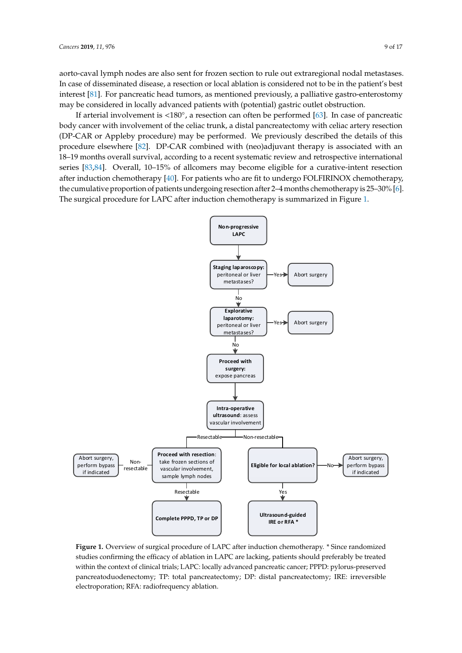aorto-caval lymph nodes are also sent for frozen section to rule out extraregional nodal metastases. *Cancers* **2019**, *11*, x 10 of 17 In case of disseminated disease, a resection or local ablation is considered not to be in the patient's best interest [\[81\]](#page-16-4). For pancreatic head tumors, as mentioned previously, a palliative gastro-enterostomy may be considered in locally advanced patients with (potential) gastric outlet obstruction. (potential) gastric outlet obstruction.

If arterial involvement is <180◦ , a resection can often be performed [\[63\]](#page-15-3). In case of pancreatic If arterial involvement is <180°, a resection can often be performed [63]. In case of pancreatic body cancer with involvement of the celiac trunk, a distal pancreatectomy with celiac artery resection body cancer with involvement of the celiac trunk, a distal pancreatectomy with celiac artery resection (DP-CAR or Appleby procedure) may be performed. We previously described the details of this (DP-CAR or Appleby procedure) may be performed. We previously described the details of this procedure elsewhere [\[82\]](#page-16-5). DP-CAR combined with (neo)adjuvant therapy is associated with an procedure elsewhere [82]. DP-CAR combined with (neo)adjuvant therapy is associated with an 18– 18–19 months overall survival, according to a recent systematic review and retrospective international 19 months overall survival, according to a recent systematic review and retrospective international series [\[83,](#page-16-6)[84\]](#page-16-7). Overall, 10–15% of allcomers may become eligible for a curative-intent resection after induction chemotherapy [\[40\]](#page-13-16). For patients who are fit to undergo FOLFIRINOX chemotherapy, the cumulative proportion of patients undergoing resection after 2–4 months chemotherapy is 25–30% [\[6\]](#page-11-5). cumulative proportion of patients undergoing resection after 2–4 months chemotherapy is 25–30% The surgical procedure for LAPC after induction chemotherapy is summarized in Figure 1. [6]. The surgical procedure for LAPC after induction chemotherapy is summarized in Fi[gu](#page-8-0)re 1.

<span id="page-8-0"></span>

**Figure 1.** Overview of surgical procedure of LAPC after induction chemotherapy. \* Since randomized **Figure 1.** Overview of surgical procedure of LAPC after induction chemotherapy. \* Since randomized studies confirming the efficacy of ablation in LAPC are lacking, patients should preferably be treated studies confirming the efficacy of ablation in LAPC are lacking, patients should preferably be treated<br>within the context of clinical trials; LAPC: locally advanced pancreatic cancer; PPPD: pylorus-preserved pancreatoduodenectomy; TP: total pancreatectomy; DP: distal pancreatectomy; IRE: irreversible electroporation; RFA: radiofrequency ablation.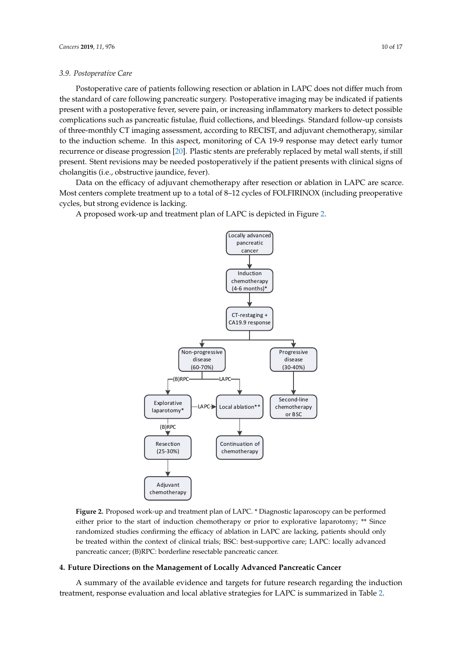#### *3.9. Postoperative Care*

Postoperative care of patients following resection or ablation in LAPC does not differ much from the standard of care following pancreatic surgery. Postoperative imaging may be indicated if patients present with a postoperative fever, severe pain, or increasing inflammatory markers to detect possible complications such as pancreatic fistulae, fluid collections, and bleedings. Standard follow-up consists of three-monthly CT imaging assessment, according to RECIST, and adjuvant chemotherapy, similar to the induction scheme. In this aspect, monitoring of CA 19-9 response may detect early tumor recurrence or disease progression [\[20\]](#page-12-12). Plastic stents are preferably replaced by metal wall stents, if still present. Stent revisions may be needed postoperatively if the patient presents with clinical signs of cholangitis (i.e., obstructive jaundice, fever).

Data on the efficacy of adjuvant chemotherapy after resection or ablation in LAPC are scarce. Most centers complete treatment up to a total of 8-12 cycles of FOLFIRINOX (including preoperative cycles, but strong evidence is lacking. cycles, but strong evidence is lacking.  $\mathcal{M}$  or at total of 8–12 cycles of  $\mathcal{M}$  of  $\mathcal{M}$  of  $\mathcal{M}$  of  $\mathcal{M}$  or  $\mathcal{M}$  of  $\mathcal{M}$  or  $\mathcal{M}$  or  $\mathcal{M}$  or  $\mathcal{M}$  or  $\mathcal{M}$  or  $\mathcal{M}$  or  $\mathcal{M}$  or  $\mathcal{M}$  or  $\mathcal{M}$  or  $\mathcal{M}$  or  $\$ 

<span id="page-9-0"></span>A proposed work-up and treatment plan of LAPC is depicted in Figure [2.](#page-9-0) A proposed work-up and treatment plan of LAPC is depicted in Figure 2.



**Figure 2.** Proposed work-up and treatment plan of LAPC. \* Diagnostic laparoscopy can be performed **Figure 2.** Proposed work-up and treatment plan of LAPC. \* Diagnostic laparoscopy can be performed either prior to the start of induction chemotherapy or prior to explorative laparotomy; \*\* Since either prior to the start of induction chemotherapy or prior to explorative laparotomy; \*\* Since randomized studies confirming the efficacy of ablation in LAPC are lacking, patients should only treated within the context of clinical trials; BSC: best-supportive care; LAPC: locally advanced be treated within the context of clinical trials; BSC: best-supportive care; LAPC: locally advanced pancreatic cancer; (B)RPC: borderline resectable pancreatic cancer. pancreatic cancer; (B)RPC: borderline resectable pancreatic cancer.

# **4. Future Directions on the Management of Locally Advanced Pancreatic Cancer 4. Future Directions on the Management of Locally Advanced Pancreatic Cancer**

A summary of the available evidence and targets for future research regarding the induction A summary of the available evidence and targets for future research regarding the induction treatment, response evaluation and local ablative strategies for LAPC is summarized in Tab[le](#page-10-0) 2. treatment, response evaluation and local ablative strategies for LAPC is summarized in Table 2.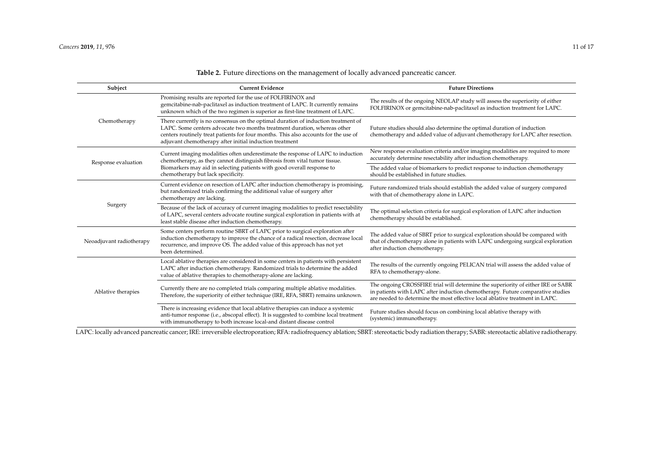| Subject                  | <b>Current Evidence</b>                                                                                                                                                                                                                                                                                         | <b>Future Directions</b>                                                                                                                                                                                                                           |  |  |
|--------------------------|-----------------------------------------------------------------------------------------------------------------------------------------------------------------------------------------------------------------------------------------------------------------------------------------------------------------|----------------------------------------------------------------------------------------------------------------------------------------------------------------------------------------------------------------------------------------------------|--|--|
|                          | Promising results are reported for the use of FOLFIRINOX and<br>gemcitabine-nab-paclitaxel as induction treatment of LAPC. It currently remains<br>unknown which of the two regimen is superior as first-line treatment of LAPC.                                                                                | The results of the ongoing NEOLAP study will assess the superiority of either<br>FOLFIRINOX or gemcitabine-nab-paclitaxel as induction treatment for LAPC.                                                                                         |  |  |
| Chemotherapy             | There currently is no consensus on the optimal duration of induction treatment of<br>LAPC. Some centers advocate two months treatment duration, whereas other<br>centers routinely treat patients for four months. This also accounts for the use of<br>adjuvant chemotherapy after initial induction treatment | Future studies should also determine the optimal duration of induction<br>chemotherapy and added value of adjuvant chemotherapy for LAPC after resection.                                                                                          |  |  |
| Response evaluation      | Current imaging modalities often underestimate the response of LAPC to induction<br>chemotherapy, as they cannot distinguish fibrosis from vital tumor tissue.                                                                                                                                                  | New response evaluation criteria and/or imaging modalities are required to more<br>accurately determine resectability after induction chemotherapy.                                                                                                |  |  |
|                          | Biomarkers may aid in selecting patients with good overall response to<br>chemotherapy but lack specificity.                                                                                                                                                                                                    | The added value of biomarkers to predict response to induction chemotherapy<br>should be established in future studies.                                                                                                                            |  |  |
|                          | Current evidence on resection of LAPC after induction chemotherapy is promising,<br>but randomized trials confirming the additional value of surgery after<br>chemotherapy are lacking.                                                                                                                         | Future randomized trials should establish the added value of surgery compared<br>with that of chemotherapy alone in LAPC.                                                                                                                          |  |  |
| Surgery                  | Because of the lack of accuracy of current imaging modalities to predict resectability<br>of LAPC, several centers advocate routine surgical exploration in patients with at<br>least stable disease after induction chemotherapy.                                                                              | The optimal selection criteria for surgical exploration of LAPC after induction<br>chemotherapy should be established.                                                                                                                             |  |  |
| Neoadjuvant radiotherapy | Some centers perform routine SBRT of LAPC prior to surgical exploration after<br>induction chemotherapy to improve the chance of a radical resection, decrease local<br>recurrence, and improve OS. The added value of this approach has not yet<br>been determined.                                            | The added value of SBRT prior to surgical exploration should be compared with<br>that of chemotherapy alone in patients with LAPC undergoing surgical exploration<br>after induction chemotherapy.                                                 |  |  |
|                          | Local ablative therapies are considered in some centers in patients with persistent<br>LAPC after induction chemotherapy. Randomized trials to determine the added<br>value of ablative therapies to chemotherapy-alone are lacking.                                                                            | The results of the currently ongoing PELICAN trial will assess the added value of<br>RFA to chemotherapy-alone.                                                                                                                                    |  |  |
| Ablative therapies       | Currently there are no completed trials comparing multiple ablative modalities.<br>Therefore, the superiority of either technique (IRE, RFA, SBRT) remains unknown.                                                                                                                                             | The ongoing CROSSFIRE trial will determine the superiority of either IRE or SABR<br>in patients with LAPC after induction chemotherapy. Future comparative studies<br>are needed to determine the most effective local ablative treatment in LAPC. |  |  |
|                          | There is increasing evidence that local ablative therapies can induce a systemic<br>anti-tumor response (i.e., abscopal effect). It is suggested to combine local treatment<br>with immunotherapy to both increase local-and distant disease control                                                            | Future studies should focus on combining local ablative therapy with<br>(systemic) immunotherapy.                                                                                                                                                  |  |  |

# **Table 2.** Future directions on the management of locally advanced pancreatic cancer.

<span id="page-10-0"></span>LAPC: locally advanced pancreatic cancer; IRE: irreversible electroporation; RFA: radiofrequency ablation; SBRT: stereotactic body radiation therapy; SABR: stereotactic ablative radiotherapy.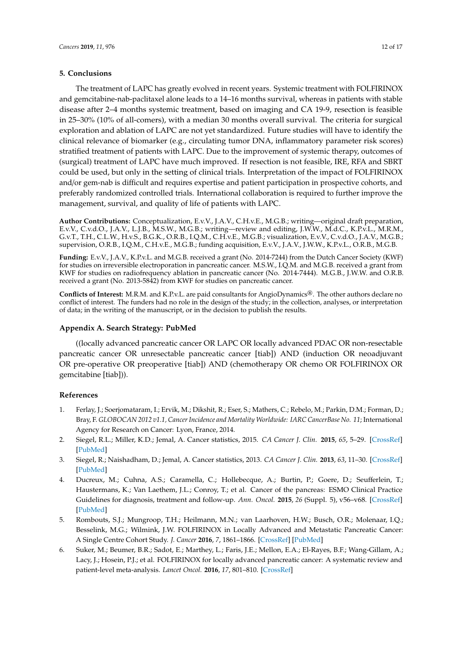# **5. Conclusions**

The treatment of LAPC has greatly evolved in recent years. Systemic treatment with FOLFIRINOX and gemcitabine-nab-paclitaxel alone leads to a 14–16 months survival, whereas in patients with stable disease after 2–4 months systemic treatment, based on imaging and CA 19-9, resection is feasible in 25–30% (10% of all-comers), with a median 30 months overall survival. The criteria for surgical exploration and ablation of LAPC are not yet standardized. Future studies will have to identify the clinical relevance of biomarker (e.g., circulating tumor DNA, inflammatory parameter risk scores) stratified treatment of patients with LAPC. Due to the improvement of systemic therapy, outcomes of (surgical) treatment of LAPC have much improved. If resection is not feasible, IRE, RFA and SBRT could be used, but only in the setting of clinical trials. Interpretation of the impact of FOLFIRINOX and/or gem-nab is difficult and requires expertise and patient participation in prospective cohorts, and preferably randomized controlled trials. International collaboration is required to further improve the management, survival, and quality of life of patients with LAPC.

**Author Contributions:** Conceptualization, E.v.V., J.A.V., C.H.v.E., M.G.B.; writing—original draft preparation, E.v.V., C.v.d.O., J.A.V., L.J.B., M.S.W., M.G.B.; writing—review and editing, J.W.W., M.d.C., K.P.v.L., M.R.M., G.v.T., T.H., C.L.W., H.v.S., B.G.K., O.R.B., I.Q.M., C.H.v.E., M.G.B.; visualization, E.v.V., C.v.d.O., J.A.V., M.G.B.; supervision, O.R.B., I.Q.M., C.H.v.E., M.G.B.; funding acquisition, E.v.V., J.A.V., J.W.W., K.P.v.L., O.R.B., M.G.B.

**Funding:** E.v.V., J.A.V., K.P.v.L. and M.G.B. received a grant (No. 2014-7244) from the Dutch Cancer Society (KWF) for studies on irreversible electroporation in pancreatic cancer. M.S.W., I.Q.M. and M.G.B. received a grant from KWF for studies on radiofrequency ablation in pancreatic cancer (No. 2014-7444). M.G.B., J.W.W. and O.R.B. received a grant (No. 2013-5842) from KWF for studies on pancreatic cancer.

**Conflicts of Interest:** M.R.M. and K.P.v.L. are paid consultants for AngioDynamics®. The other authors declare no conflict of interest. The funders had no role in the design of the study; in the collection, analyses, or interpretation of data; in the writing of the manuscript, or in the decision to publish the results.

## <span id="page-11-6"></span>**Appendix A. Search Strategy: PubMed**

((locally advanced pancreatic cancer OR LAPC OR locally advanced PDAC OR non-resectable pancreatic cancer OR unresectable pancreatic cancer [tiab]) AND (induction OR neoadjuvant OR pre-operative OR preoperative [tiab]) AND (chemotherapy OR chemo OR FOLFIRINOX OR gemcitabine [tiab])).

# **References**

- <span id="page-11-0"></span>1. Ferlay, J.; Soerjomataram, I.; Ervik, M.; Dikshit, R.; Eser, S.; Mathers, C.; Rebelo, M.; Parkin, D.M.; Forman, D.; Bray, F. *GLOBOCAN 2012 v1.1, Cancer Incidence and Mortality Worldwide: IARC CancerBase No. 11*; International Agency for Research on Cancer: Lyon, France, 2014.
- <span id="page-11-1"></span>2. Siegel, R.L.; Miller, K.D.; Jemal, A. Cancer statistics, 2015. *CA Cancer J. Clin.* **2015**, *65*, 5–29. [\[CrossRef\]](http://dx.doi.org/10.3322/caac.21254) [\[PubMed\]](http://www.ncbi.nlm.nih.gov/pubmed/25559415)
- <span id="page-11-2"></span>3. Siegel, R.; Naishadham, D.; Jemal, A. Cancer statistics, 2013. *CA Cancer J. Clin.* **2013**, *63*, 11–30. [\[CrossRef\]](http://dx.doi.org/10.3322/caac.21166) [\[PubMed\]](http://www.ncbi.nlm.nih.gov/pubmed/23335087)
- <span id="page-11-3"></span>4. Ducreux, M.; Cuhna, A.S.; Caramella, C.; Hollebecque, A.; Burtin, P.; Goere, D.; Seufferlein, T.; Haustermans, K.; Van Laethem, J.L.; Conroy, T.; et al. Cancer of the pancreas: ESMO Clinical Practice Guidelines for diagnosis, treatment and follow-up. *Ann. Oncol.* **2015**, *26* (Suppl. 5), v56–v68. [\[CrossRef\]](http://dx.doi.org/10.1093/annonc/mdv295) [\[PubMed\]](http://www.ncbi.nlm.nih.gov/pubmed/26314780)
- <span id="page-11-4"></span>5. Rombouts, S.J.; Mungroop, T.H.; Heilmann, M.N.; van Laarhoven, H.W.; Busch, O.R.; Molenaar, I.Q.; Besselink, M.G.; Wilmink, J.W. FOLFIRINOX in Locally Advanced and Metastatic Pancreatic Cancer: A Single Centre Cohort Study. *J. Cancer* **2016**, *7*, 1861–1866. [\[CrossRef\]](http://dx.doi.org/10.7150/jca.16279) [\[PubMed\]](http://www.ncbi.nlm.nih.gov/pubmed/27698926)
- <span id="page-11-5"></span>6. Suker, M.; Beumer, B.R.; Sadot, E.; Marthey, L.; Faris, J.E.; Mellon, E.A.; El-Rayes, B.F.; Wang-Gillam, A.; Lacy, J.; Hosein, P.J.; et al. FOLFIRINOX for locally advanced pancreatic cancer: A systematic review and patient-level meta-analysis. *Lancet Oncol.* **2016**, *17*, 801–810. [\[CrossRef\]](http://dx.doi.org/10.1016/S1470-2045(16)00172-8)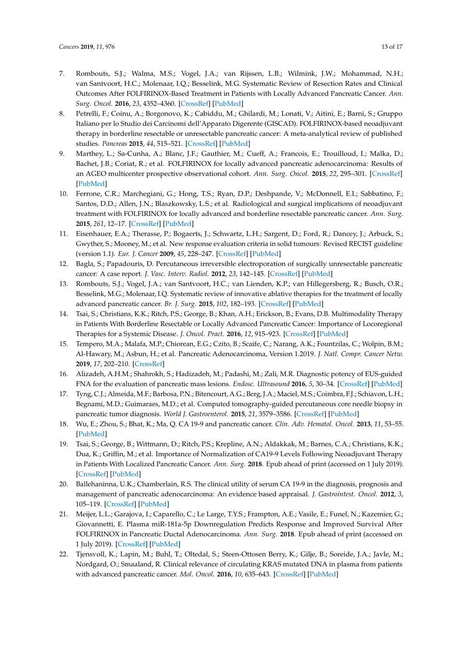- 7. Rombouts, S.J.; Walma, M.S.; Vogel, J.A.; van Rijssen, L.B.; Wilmink, J.W.; Mohammad, N.H.; van Santvoort, H.C.; Molenaar, I.Q.; Besselink, M.G. Systematic Review of Resection Rates and Clinical Outcomes After FOLFIRINOX-Based Treatment in Patients with Locally Advanced Pancreatic Cancer. *Ann. Surg. Oncol.* **2016**, *23*, 4352–4360. [\[CrossRef\]](http://dx.doi.org/10.1245/s10434-016-5373-2) [\[PubMed\]](http://www.ncbi.nlm.nih.gov/pubmed/27370653)
- <span id="page-12-0"></span>8. Petrelli, F.; Coinu, A.; Borgonovo, K.; Cabiddu, M.; Ghilardi, M.; Lonati, V.; Aitini, E.; Barni, S.; Gruppo Italiano per lo Studio dei Carcinomi dell'Apparato Digerente (GISCAD). FOLFIRINOX-based neoadjuvant therapy in borderline resectable or unresectable pancreatic cancer: A meta-analytical review of published studies. *Pancreas* **2015**, *44*, 515–521. [\[CrossRef\]](http://dx.doi.org/10.1097/MPA.0000000000000314) [\[PubMed\]](http://www.ncbi.nlm.nih.gov/pubmed/25872127)
- <span id="page-12-1"></span>9. Marthey, L.; Sa-Cunha, A.; Blanc, J.F.; Gauthier, M.; Cueff, A.; Francois, E.; Trouilloud, I.; Malka, D.; Bachet, J.B.; Coriat, R.; et al. FOLFIRINOX for locally advanced pancreatic adenocarcinoma: Results of an AGEO multicenter prospective observational cohort. *Ann. Surg. Oncol.* **2015**, *22*, 295–301. [\[CrossRef\]](http://dx.doi.org/10.1245/s10434-014-3898-9) [\[PubMed\]](http://www.ncbi.nlm.nih.gov/pubmed/25037971)
- <span id="page-12-2"></span>10. Ferrone, C.R.; Marchegiani, G.; Hong, T.S.; Ryan, D.P.; Deshpande, V.; McDonnell, E.I.; Sabbatino, F.; Santos, D.D.; Allen, J.N.; Blaszkowsky, L.S.; et al. Radiological and surgical implications of neoadjuvant treatment with FOLFIRINOX for locally advanced and borderline resectable pancreatic cancer. *Ann. Surg.* **2015**, *261*, 12–17. [\[CrossRef\]](http://dx.doi.org/10.1097/SLA.0000000000000867) [\[PubMed\]](http://www.ncbi.nlm.nih.gov/pubmed/25599322)
- <span id="page-12-3"></span>11. Eisenhauer, E.A.; Therasse, P.; Bogaerts, J.; Schwartz, L.H.; Sargent, D.; Ford, R.; Dancey, J.; Arbuck, S.; Gwyther, S.; Mooney, M.; et al. New response evaluation criteria in solid tumours: Revised RECIST guideline (version 1.1). *Eur. J. Cancer* **2009**, *45*, 228–247. [\[CrossRef\]](http://dx.doi.org/10.1016/j.ejca.2008.10.026) [\[PubMed\]](http://www.ncbi.nlm.nih.gov/pubmed/19097774)
- <span id="page-12-4"></span>12. Bagla, S.; Papadouris, D. Percutaneous irreversible electroporation of surgically unresectable pancreatic cancer: A case report. *J. Vasc. Interv. Radiol.* **2012**, *23*, 142–145. [\[CrossRef\]](http://dx.doi.org/10.1016/j.jvir.2011.10.002) [\[PubMed\]](http://www.ncbi.nlm.nih.gov/pubmed/22221480)
- <span id="page-12-5"></span>13. Rombouts, S.J.; Vogel, J.A.; van Santvoort, H.C.; van Lienden, K.P.; van Hillegersberg, R.; Busch, O.R.; Besselink, M.G.; Molenaar, I.Q. Systematic review of innovative ablative therapies for the treatment of locally advanced pancreatic cancer. *Br. J. Surg.* **2015**, *102*, 182–193. [\[CrossRef\]](http://dx.doi.org/10.1002/bjs.9716) [\[PubMed\]](http://www.ncbi.nlm.nih.gov/pubmed/25524417)
- <span id="page-12-6"></span>14. Tsai, S.; Christians, K.K.; Ritch, P.S.; George, B.; Khan, A.H.; Erickson, B.; Evans, D.B. Multimodality Therapy in Patients With Borderline Resectable or Locally Advanced Pancreatic Cancer: Importance of Locoregional Therapies for a Systemic Disease. *J. Oncol. Pract.* **2016**, *12*, 915–923. [\[CrossRef\]](http://dx.doi.org/10.1200/JOP.2016.016162) [\[PubMed\]](http://www.ncbi.nlm.nih.gov/pubmed/27858562)
- <span id="page-12-7"></span>15. Tempero, M.A.; Malafa, M.P.; Chiorean, E.G.; Czito, B.; Scaife, C.; Narang, A.K.; Fountzilas, C.; Wolpin, B.M.; Al-Hawary, M.; Asbun, H.; et al. Pancreatic Adenocarcinoma, Version 1.2019. *J. Natl. Compr. Cancer Netw.* **2019**, *17*, 202–210. [\[CrossRef\]](http://dx.doi.org/10.6004/jnccn.2019.0014)
- <span id="page-12-8"></span>16. Alizadeh, A.H.M.; Shahrokh, S.; Hadizadeh, M.; Padashi, M.; Zali, M.R. Diagnostic potency of EUS-guided FNA for the evaluation of pancreatic mass lesions. *Endosc. Ultrasound* **2016**, *5*, 30–34. [\[CrossRef\]](http://dx.doi.org/10.4103/2303-9027.175879) [\[PubMed\]](http://www.ncbi.nlm.nih.gov/pubmed/26879164)
- <span id="page-12-9"></span>17. Tyng, C.J.; Almeida, M.F.; Barbosa, P.N.; Bitencourt, A.G.; Berg, J.A.; Maciel, M.S.; Coimbra, F.J.; Schiavon, L.H.; Begnami, M.D.; Guimaraes, M.D.; et al. Computed tomography-guided percutaneous core needle biopsy in pancreatic tumor diagnosis. *World J. Gastroenterol.* **2015**, *21*, 3579–3586. [\[CrossRef\]](http://dx.doi.org/10.3748/wjg.v21.i12.3579) [\[PubMed\]](http://www.ncbi.nlm.nih.gov/pubmed/25834323)
- <span id="page-12-10"></span>18. Wu, E.; Zhou, S.; Bhat, K.; Ma, Q. CA 19-9 and pancreatic cancer. *Clin. Adv. Hematol. Oncol.* **2013**, *11*, 53–55. [\[PubMed\]](http://www.ncbi.nlm.nih.gov/pubmed/23596673)
- <span id="page-12-11"></span>19. Tsai, S.; George, B.; Wittmann, D.; Ritch, P.S.; Krepline, A.N.; Aldakkak, M.; Barnes, C.A.; Christians, K.K.; Dua, K.; Griffin, M.; et al. Importance of Normalization of CA19-9 Levels Following Neoadjuvant Therapy in Patients With Localized Pancreatic Cancer. *Ann. Surg.* **2018**. Epub ahead of print (accessed on 1 July 2019). [\[CrossRef\]](http://dx.doi.org/10.1097/SLA.0000000000003049) [\[PubMed\]](http://www.ncbi.nlm.nih.gov/pubmed/30312198)
- <span id="page-12-12"></span>20. Ballehaninna, U.K.; Chamberlain, R.S. The clinical utility of serum CA 19-9 in the diagnosis, prognosis and management of pancreatic adenocarcinoma: An evidence based appraisal. *J. Gastrointest. Oncol.* **2012**, *3*, 105–119. [\[CrossRef\]](http://dx.doi.org/10.3978/j.issn.2078-6891.2011.021) [\[PubMed\]](http://www.ncbi.nlm.nih.gov/pubmed/22811878)
- <span id="page-12-13"></span>21. Meijer, L.L.; Garajova, I.; Caparello, C.; Le Large, T.Y.S.; Frampton, A.E.; Vasile, E.; Funel, N.; Kazemier, G.; Giovannetti, E. Plasma miR-181a-5p Downregulation Predicts Response and Improved Survival After FOLFIRINOX in Pancreatic Ductal Adenocarcinoma. *Ann. Surg.* **2018**. Epub ahead of print (accessed on 1 July 2019). [\[CrossRef\]](http://dx.doi.org/10.1097/SLA.0000000000003084) [\[PubMed\]](http://www.ncbi.nlm.nih.gov/pubmed/30394883)
- <span id="page-12-14"></span>22. Tjensvoll, K.; Lapin, M.; Buhl, T.; Oltedal, S.; Steen-Ottosen Berry, K.; Gilje, B.; Soreide, J.A.; Javle, M.; Nordgard, O.; Smaaland, R. Clinical relevance of circulating KRAS mutated DNA in plasma from patients with advanced pancreatic cancer. *Mol. Oncol.* **2016**, *10*, 635–643. [\[CrossRef\]](http://dx.doi.org/10.1016/j.molonc.2015.11.012) [\[PubMed\]](http://www.ncbi.nlm.nih.gov/pubmed/26725968)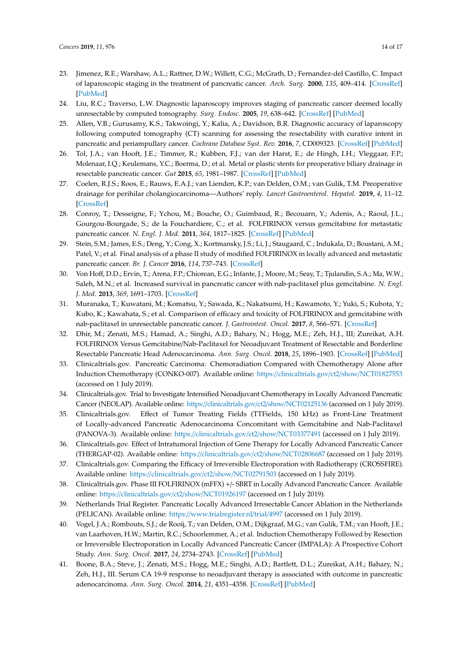- <span id="page-13-0"></span>23. Jimenez, R.E.; Warshaw, A.L.; Rattner, D.W.; Willett, C.G.; McGrath, D.; Fernandez-del Castillo, C. Impact of laparoscopic staging in the treatment of pancreatic cancer. *Arch. Surg.* **2000**, *135*, 409–414. [\[CrossRef\]](http://dx.doi.org/10.1001/archsurg.135.4.409) [\[PubMed\]](http://www.ncbi.nlm.nih.gov/pubmed/10768705)
- <span id="page-13-1"></span>24. Liu, R.C.; Traverso, L.W. Diagnostic laparoscopy improves staging of pancreatic cancer deemed locally unresectable by computed tomography. *Surg. Endosc.* **2005**, *19*, 638–642. [\[CrossRef\]](http://dx.doi.org/10.1007/s00464-004-8165-x) [\[PubMed\]](http://www.ncbi.nlm.nih.gov/pubmed/15776215)
- <span id="page-13-2"></span>25. Allen, V.B.; Gurusamy, K.S.; Takwoingi, Y.; Kalia, A.; Davidson, B.R. Diagnostic accuracy of laparoscopy following computed tomography (CT) scanning for assessing the resectability with curative intent in pancreatic and periampullary cancer. *Cochrane Database Syst. Rev.* **2016**, *7*, CD009323. [\[CrossRef\]](http://dx.doi.org/10.1002/14651858.CD009323.pub3) [\[PubMed\]](http://www.ncbi.nlm.nih.gov/pubmed/27383694)
- <span id="page-13-10"></span><span id="page-13-3"></span>26. Tol, J.A.; van Hooft, J.E.; Timmer, R.; Kubben, F.J.; van der Harst, E.; de Hingh, I.H.; Vleggaar, F.P.; Molenaar, I.Q.; Keulemans, Y.C.; Boerma, D.; et al. Metal or plastic stents for preoperative biliary drainage in resectable pancreatic cancer. *Gut* **2015**, *65*, 1981–1987. [\[CrossRef\]](http://dx.doi.org/10.1136/gutjnl-2014-308762) [\[PubMed\]](http://www.ncbi.nlm.nih.gov/pubmed/26306760)
- <span id="page-13-11"></span><span id="page-13-4"></span>27. Coelen, R.J.S.; Roos, E.; Rauws, E.A.J.; van Lienden, K.P.; van Delden, O.M.; van Gulik, T.M. Preoperative drainage for perihilar cholangiocarcinoma—Authors' reply. *Lancet Gastroenterol. Hepatol.* **2019**, *4*, 11–12. [\[CrossRef\]](http://dx.doi.org/10.1016/S2468-1253(18)30346-7)
- <span id="page-13-12"></span><span id="page-13-5"></span>28. Conroy, T.; Desseigne, F.; Ychou, M.; Bouche, O.; Guimbaud, R.; Becouarn, Y.; Adenis, A.; Raoul, J.L.; Gourgou-Bourgade, S.; de la Fouchardiere, C.; et al. FOLFIRINOX versus gemcitabine for metastatic pancreatic cancer. *N. Engl. J. Med.* **2011**, *364*, 1817–1825. [\[CrossRef\]](http://dx.doi.org/10.1056/NEJMoa1011923) [\[PubMed\]](http://www.ncbi.nlm.nih.gov/pubmed/21561347)
- <span id="page-13-13"></span><span id="page-13-6"></span>29. Stein, S.M.; James, E.S.; Deng, Y.; Cong, X.; Kortmansky, J.S.; Li, J.; Staugaard, C.; Indukala, D.; Boustani, A.M.; Patel, V.; et al. Final analysis of a phase II study of modified FOLFIRINOX in locally advanced and metastatic pancreatic cancer. *Br. J. Cancer* **2016**, *114*, 737–743. [\[CrossRef\]](http://dx.doi.org/10.1038/bjc.2016.45)
- <span id="page-13-14"></span><span id="page-13-7"></span>30. Von Hoff, D.D.; Ervin, T.; Arena, F.P.; Chiorean, E.G.; Infante, J.; Moore, M.; Seay, T.; Tjulandin, S.A.; Ma, W.W.; Saleh, M.N.; et al. Increased survival in pancreatic cancer with nab-paclitaxel plus gemcitabine. *N. Engl. J. Med.* **2013**, *369*, 1691–1703. [\[CrossRef\]](http://dx.doi.org/10.1056/NEJMoa1304369)
- <span id="page-13-15"></span><span id="page-13-8"></span>31. Muranaka, T.; Kuwatani, M.; Komatsu, Y.; Sawada, K.; Nakatsumi, H.; Kawamoto, Y.; Yuki, S.; Kubota, Y.; Kubo, K.; Kawahata, S.; et al. Comparison of efficacy and toxicity of FOLFIRINOX and gemcitabine with nab-paclitaxel in unresectable pancreatic cancer. *J. Gastrointest. Oncol.* **2017**, *8*, 566–571. [\[CrossRef\]](http://dx.doi.org/10.21037/jgo.2017.02.02)
- <span id="page-13-9"></span>32. Dhir, M.; Zenati, M.S.; Hamad, A.; Singhi, A.D.; Bahary, N.; Hogg, M.E.; Zeh, H.J., III; Zureikat, A.H. FOLFIRINOX Versus Gemcitabine/Nab-Paclitaxel for Neoadjuvant Treatment of Resectable and Borderline Resectable Pancreatic Head Adenocarcinoma. *Ann. Surg. Oncol.* **2018**, *25*, 1896–1903. [\[CrossRef\]](http://dx.doi.org/10.1245/s10434-018-6512-8) [\[PubMed\]](http://www.ncbi.nlm.nih.gov/pubmed/29761331)
- 33. Clinicaltrials.gov. Pancreatic Carcinoma: Chemoradiation Compared with Chemotherapy Alone after Induction Chemotherapy (CONKO-007). Available online: https://[clinicaltrials.gov](https://clinicaltrials.gov/ct2/show/NCT01827553)/ct2/show/NCT01827553 (accessed on 1 July 2019).
- 34. Clinicaltrials.gov. Trial to Investigate Intensified Neoadjuvant Chemotherapy in Locally Advanced Pancreatic Cancer (NEOLAP). Available online: https://[clinicaltrials.gov](https://clinicaltrials.gov/ct2/show/NCT02125136)/ct2/show/NCT02125136 (accessed on 1 July 2019).
- 35. Clinicaltrials.gov. Effect of Tumor Treating Fields (TTFields, 150 kHz) as Front-Line Treatment of Locally-advanced Pancreatic Adenocarcinoma Concomitant with Gemcitabine and Nab-Paclitaxel (PANOVA-3). Available online: https://[clinicaltrials.gov](https://clinicaltrials.gov/ct2/show/NCT03377491)/ct2/show/NCT03377491 (accessed on 1 July 2019).
- 36. Clinicaltrials.gov. Effect of Intratumoral Injection of Gene Therapy for Locally Advanced Pancreatic Cancer (THERGAP-02). Available online: https://[clinicaltrials.gov](https://clinicaltrials.gov/ct2/show/NCT02806687)/ct2/show/NCT02806687 (accessed on 1 July 2019).
- 37. Clinicaltrials.gov. Comparing the Efficacy of Irreversible Electroporation with Radiotherapy (CROSSFIRE). Available online: https://[clinicaltrials.gov](https://clinicaltrials.gov/ct2/show/NCT02791503)/ct2/show/NCT02791503 (accessed on 1 July 2019).
- 38. Clinicaltrials.gov. Phase III FOLFIRINOX (mFFX) +/- SBRT in Locally Advanced Pancreatic Cancer. Available online: https://[clinicaltrials.gov](https://clinicaltrials.gov/ct2/show/NCT01926197)/ct2/show/NCT01926197 (accessed on 1 July 2019).
- 39. Netherlands Trial Register. Pancreatic Locally Advanced Irresectable Cancer Ablation in the Netherlands (PELICAN). Available online: https://[www.trialregister.nl](https://www.trialregister.nl/trial/4997)/trial/4997 (accessed on 1 July 2019).
- <span id="page-13-16"></span>40. Vogel, J.A.; Rombouts, S.J.; de Rooij, T.; van Delden, O.M.; Dijkgraaf, M.G.; van Gulik, T.M.; van Hooft, J.E.; van Laarhoven, H.W.; Martin, R.C.; Schoorlemmer, A.; et al. Induction Chemotherapy Followed by Resection or Irreversible Electroporation in Locally Advanced Pancreatic Cancer (IMPALA): A Prospective Cohort Study. *Ann. Surg. Oncol.* **2017**, *24*, 2734–2743. [\[CrossRef\]](http://dx.doi.org/10.1245/s10434-017-5900-9) [\[PubMed\]](http://www.ncbi.nlm.nih.gov/pubmed/28560601)
- <span id="page-13-17"></span>41. Boone, B.A.; Steve, J.; Zenati, M.S.; Hogg, M.E.; Singhi, A.D.; Bartlett, D.L.; Zureikat, A.H.; Bahary, N.; Zeh, H.J., III. Serum CA 19-9 response to neoadjuvant therapy is associated with outcome in pancreatic adenocarcinoma. *Ann. Surg. Oncol.* **2014**, *21*, 4351–4358. [\[CrossRef\]](http://dx.doi.org/10.1245/s10434-014-3842-z) [\[PubMed\]](http://www.ncbi.nlm.nih.gov/pubmed/25092157)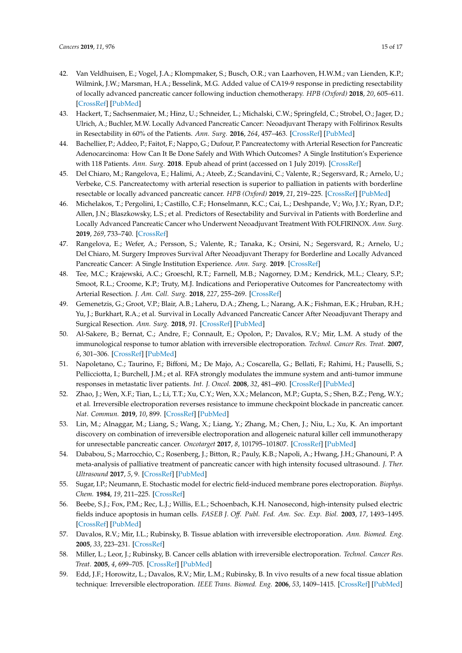- <span id="page-14-0"></span>42. Van Veldhuisen, E.; Vogel, J.A.; Klompmaker, S.; Busch, O.R.; van Laarhoven, H.W.M.; van Lienden, K.P.; Wilmink, J.W.; Marsman, H.A.; Besselink, M.G. Added value of CA19-9 response in predicting resectability of locally advanced pancreatic cancer following induction chemotherapy. *HPB (Oxford)* **2018**, *20*, 605–611. [\[CrossRef\]](http://dx.doi.org/10.1016/j.hpb.2018.01.001) [\[PubMed\]](http://www.ncbi.nlm.nih.gov/pubmed/29475787)
- <span id="page-14-1"></span>43. Hackert, T.; Sachsenmaier, M.; Hinz, U.; Schneider, L.; Michalski, C.W.; Springfeld, C.; Strobel, O.; Jager, D.; Ulrich, A.; Buchler, M.W. Locally Advanced Pancreatic Cancer: Neoadjuvant Therapy with Folfirinox Results in Resectability in 60% of the Patients. *Ann. Surg.* **2016**, *264*, 457–463. [\[CrossRef\]](http://dx.doi.org/10.1097/SLA.0000000000001850) [\[PubMed\]](http://www.ncbi.nlm.nih.gov/pubmed/27355262)
- <span id="page-14-2"></span>44. Bachellier, P.; Addeo, P.; Faitot, F.; Nappo, G.; Dufour, P. Pancreatectomy with Arterial Resection for Pancreatic Adenocarcinoma: How Can It Be Done Safely and With Which Outcomes? A Single Institution's Experience with 118 Patients. *Ann. Surg.* **2018**. Epub ahead of print (accessed on 1 July 2019). [\[CrossRef\]](http://dx.doi.org/10.1097/SLA.0000000000003010)
- 45. Del Chiaro, M.; Rangelova, E.; Halimi, A.; Ateeb, Z.; Scandavini, C.; Valente, R.; Segersvard, R.; Arnelo, U.; Verbeke, C.S. Pancreatectomy with arterial resection is superior to palliation in patients with borderline resectable or locally advanced pancreatic cancer. *HPB (Oxford)* **2019**, *21*, 219–225. [\[CrossRef\]](http://dx.doi.org/10.1016/j.hpb.2018.07.017) [\[PubMed\]](http://www.ncbi.nlm.nih.gov/pubmed/30093144)
- 46. Michelakos, T.; Pergolini, I.; Castillo, C.F.; Honselmann, K.C.; Cai, L.; Deshpande, V.; Wo, J.Y.; Ryan, D.P.; Allen, J.N.; Blaszkowsky, L.S.; et al. Predictors of Resectability and Survival in Patients with Borderline and Locally Advanced Pancreatic Cancer who Underwent Neoadjuvant Treatment With FOLFIRINOX. *Ann. Surg.* **2019**, *269*, 733–740. [\[CrossRef\]](http://dx.doi.org/10.1097/SLA.0000000000002600)
- 47. Rangelova, E.; Wefer, A.; Persson, S.; Valente, R.; Tanaka, K.; Orsini, N.; Segersvard, R.; Arnelo, U.; Del Chiaro, M. Surgery Improves Survival After Neoadjuvant Therapy for Borderline and Locally Advanced Pancreatic Cancer: A Single Institution Experience. *Ann. Surg.* **2019**. [\[CrossRef\]](http://dx.doi.org/10.1097/SLA.0000000000003301)
- <span id="page-14-3"></span>48. Tee, M.C.; Krajewski, A.C.; Groeschl, R.T.; Farnell, M.B.; Nagorney, D.M.; Kendrick, M.L.; Cleary, S.P.; Smoot, R.L.; Croome, K.P.; Truty, M.J. Indications and Perioperative Outcomes for Pancreatectomy with Arterial Resection. *J. Am. Coll. Surg.* **2018**, *227*, 255–269. [\[CrossRef\]](http://dx.doi.org/10.1016/j.jamcollsurg.2018.05.001)
- <span id="page-14-4"></span>49. Gemenetzis, G.; Groot, V.P.; Blair, A.B.; Laheru, D.A.; Zheng, L.; Narang, A.K.; Fishman, E.K.; Hruban, R.H.; Yu, J.; Burkhart, R.A.; et al. Survival in Locally Advanced Pancreatic Cancer After Neoadjuvant Therapy and Surgical Resection. *Ann. Surg.* **2018**, *91*. [\[CrossRef\]](http://dx.doi.org/10.1097/SLA.0000000000002753) [\[PubMed\]](http://www.ncbi.nlm.nih.gov/pubmed/29596120)
- <span id="page-14-5"></span>50. Al-Sakere, B.; Bernat, C.; Andre, F.; Connault, E.; Opolon, P.; Davalos, R.V.; Mir, L.M. A study of the immunological response to tumor ablation with irreversible electroporation. *Technol. Cancer Res. Treat.* **2007**, *6*, 301–306. [\[CrossRef\]](http://dx.doi.org/10.1177/153303460700600406) [\[PubMed\]](http://www.ncbi.nlm.nih.gov/pubmed/17668937)
- 51. Napoletano, C.; Taurino, F.; Biffoni, M.; De Majo, A.; Coscarella, G.; Bellati, F.; Rahimi, H.; Pauselli, S.; Pellicciotta, I.; Burchell, J.M.; et al. RFA strongly modulates the immune system and anti-tumor immune responses in metastatic liver patients. *Int. J. Oncol.* **2008**, *32*, 481–490. [\[CrossRef\]](http://dx.doi.org/10.3892/ijo.32.2.481) [\[PubMed\]](http://www.ncbi.nlm.nih.gov/pubmed/18202772)
- <span id="page-14-6"></span>52. Zhao, J.; Wen, X.F.; Tian, L.; Li, T.T.; Xu, C.Y.; Wen, X.X.; Melancon, M.P.; Gupta, S.; Shen, B.Z.; Peng, W.Y.; et al. Irreversible electroporation reverses resistance to immune checkpoint blockade in pancreatic cancer. *Nat. Commun.* **2019**, *10*, 899. [\[CrossRef\]](http://dx.doi.org/10.1038/s41467-019-08782-1) [\[PubMed\]](http://www.ncbi.nlm.nih.gov/pubmed/30796212)
- <span id="page-14-7"></span>53. Lin, M.; Alnaggar, M.; Liang, S.; Wang, X.; Liang, Y.; Zhang, M.; Chen, J.; Niu, L.; Xu, K. An important discovery on combination of irreversible electroporation and allogeneic natural killer cell immunotherapy for unresectable pancreatic cancer. *Oncotarget* **2017**, *8*, 101795–101807. [\[CrossRef\]](http://dx.doi.org/10.18632/oncotarget.21974) [\[PubMed\]](http://www.ncbi.nlm.nih.gov/pubmed/29254205)
- <span id="page-14-8"></span>54. Dababou, S.; Marrocchio, C.; Rosenberg, J.; Bitton, R.; Pauly, K.B.; Napoli, A.; Hwang, J.H.; Ghanouni, P. A meta-analysis of palliative treatment of pancreatic cancer with high intensity focused ultrasound. *J. Ther. Ultrasound* **2017**, *5*, 9. [\[CrossRef\]](http://dx.doi.org/10.1186/s40349-017-0080-4) [\[PubMed\]](http://www.ncbi.nlm.nih.gov/pubmed/28373906)
- <span id="page-14-9"></span>55. Sugar, I.P.; Neumann, E. Stochastic model for electric field-induced membrane pores electroporation. *Biophys. Chem.* **1984**, *19*, 211–225. [\[CrossRef\]](http://dx.doi.org/10.1016/0301-4622(84)87003-9)
- 56. Beebe, S.J.; Fox, P.M.; Rec, L.J.; Willis, E.L.; Schoenbach, K.H. Nanosecond, high-intensity pulsed electric fields induce apoptosis in human cells. *FASEB J. O*ff*. Publ. Fed. Am. Soc. Exp. Biol.* **2003**, *17*, 1493–1495. [\[CrossRef\]](http://dx.doi.org/10.1096/fj.02-0859fje) [\[PubMed\]](http://www.ncbi.nlm.nih.gov/pubmed/12824299)
- 57. Davalos, R.V.; Mir, I.L.; Rubinsky, B. Tissue ablation with irreversible electroporation. *Ann. Biomed. Eng.* **2005**, *33*, 223–231. [\[CrossRef\]](http://dx.doi.org/10.1007/s10439-005-8981-8)
- 58. Miller, L.; Leor, J.; Rubinsky, B. Cancer cells ablation with irreversible electroporation. *Technol. Cancer Res. Treat.* **2005**, *4*, 699–705. [\[CrossRef\]](http://dx.doi.org/10.1177/153303460500400615) [\[PubMed\]](http://www.ncbi.nlm.nih.gov/pubmed/16292891)
- 59. Edd, J.F.; Horowitz, L.; Davalos, R.V.; Mir, L.M.; Rubinsky, B. In vivo results of a new focal tissue ablation technique: Irreversible electroporation. *IEEE Trans. Biomed. Eng.* **2006**, *53*, 1409–1415. [\[CrossRef\]](http://dx.doi.org/10.1109/TBME.2006.873745) [\[PubMed\]](http://www.ncbi.nlm.nih.gov/pubmed/16830945)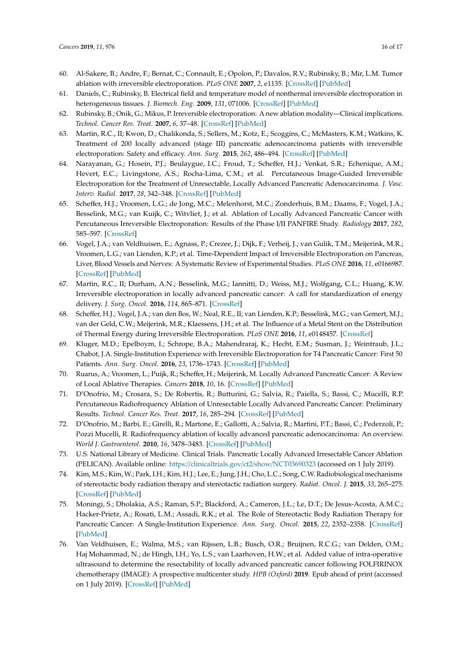- <span id="page-15-0"></span>60. Al-Sakere, B.; Andre, F.; Bernat, C.; Connault, E.; Opolon, P.; Davalos, R.V.; Rubinsky, B.; Mir, L.M. Tumor ablation with irreversible electroporation. *PLoS ONE* **2007**, *2*, e1135. [\[CrossRef\]](http://dx.doi.org/10.1371/journal.pone.0001135) [\[PubMed\]](http://www.ncbi.nlm.nih.gov/pubmed/17989772)
- <span id="page-15-1"></span>61. Daniels, C.; Rubinsky, B. Electrical field and temperature model of nonthermal irreversible electroporation in heterogeneous tissues. *J. Biomech. Eng.* **2009**, *131*, 071006. [\[CrossRef\]](http://dx.doi.org/10.1115/1.3156808) [\[PubMed\]](http://www.ncbi.nlm.nih.gov/pubmed/19640131)
- <span id="page-15-2"></span>62. Rubinsky, B.; Onik, G.; Mikus, P. Irreversible electroporation: A new ablation modality—Clinical implications. *Technol. Cancer Res. Treat.* **2007**, *6*, 37–48. [\[CrossRef\]](http://dx.doi.org/10.1177/153303460700600106) [\[PubMed\]](http://www.ncbi.nlm.nih.gov/pubmed/17241099)
- <span id="page-15-3"></span>63. Martin, R.C., II; Kwon, D.; Chalikonda, S.; Sellers, M.; Kotz, E.; Scoggins, C.; McMasters, K.M.; Watkins, K. Treatment of 200 locally advanced (stage III) pancreatic adenocarcinoma patients with irreversible electroporation: Safety and efficacy. *Ann. Surg.* **2015**, *262*, 486–494. [\[CrossRef\]](http://dx.doi.org/10.1097/SLA.0000000000001441) [\[PubMed\]](http://www.ncbi.nlm.nih.gov/pubmed/26258317)
- <span id="page-15-4"></span>64. Narayanan, G.; Hosein, P.J.; Beulaygue, I.C.; Froud, T.; Scheffer, H.J.; Venkat, S.R.; Echenique, A.M.; Hevert, E.C.; Livingstone, A.S.; Rocha-Lima, C.M.; et al. Percutaneous Image-Guided Irreversible Electroporation for the Treatment of Unresectable, Locally Advanced Pancreatic Adenocarcinoma. *J. Vasc. Interv. Radiol.* **2017**, *28*, 342–348. [\[CrossRef\]](http://dx.doi.org/10.1016/j.jvir.2016.10.023) [\[PubMed\]](http://www.ncbi.nlm.nih.gov/pubmed/27993507)
- <span id="page-15-5"></span>65. Scheffer, H.J.; Vroomen, L.G.; de Jong, M.C.; Melenhorst, M.C.; Zonderhuis, B.M.; Daams, F.; Vogel, J.A.; Besselink, M.G.; van Kuijk, C.; Witvliet, J.; et al. Ablation of Locally Advanced Pancreatic Cancer with Percutaneous Irreversible Electroporation: Results of the Phase I/II PANFIRE Study. *Radiology* **2017**, *282*, 585–597. [\[CrossRef\]](http://dx.doi.org/10.1148/radiol.2016152835)
- <span id="page-15-6"></span>66. Vogel, J.A.; van Veldhuisen, E.; Agnass, P.; Crezee, J.; Dijk, F.; Verheij, J.; van Gulik, T.M.; Meijerink, M.R.; Vroomen, L.G.; van Lienden, K.P.; et al. Time-Dependent Impact of Irreversible Electroporation on Pancreas, Liver, Blood Vessels and Nerves: A Systematic Review of Experimental Studies. *PLoS ONE* **2016**, *11*, e0166987. [\[CrossRef\]](http://dx.doi.org/10.1371/journal.pone.0166987) [\[PubMed\]](http://www.ncbi.nlm.nih.gov/pubmed/27870918)
- <span id="page-15-7"></span>67. Martin, R.C., II; Durham, A.N.; Besselink, M.G.; Iannitti, D.; Weiss, M.J.; Wolfgang, C.L.; Huang, K.W. Irreversible electroporation in locally advanced pancreatic cancer: A call for standardization of energy delivery. *J. Surg. Oncol.* **2016**, *114*, 865–871. [\[CrossRef\]](http://dx.doi.org/10.1002/jso.24404)
- <span id="page-15-8"></span>68. Scheffer, H.J.; Vogel, J.A.; van den Bos, W.; Neal, R.E., II; van Lienden, K.P.; Besselink, M.G.; van Gemert, M.J.; van der Geld, C.W.; Meijerink, M.R.; Klaessens, J.H.; et al. The Influence of a Metal Stent on the Distribution of Thermal Energy during Irreversible Electroporation. *PLoS ONE* **2016**, *11*, e0148457. [\[CrossRef\]](http://dx.doi.org/10.1371/journal.pone.0148457)
- <span id="page-15-9"></span>69. Kluger, M.D.; Epelboym, I.; Schrope, B.A.; Mahendraraj, K.; Hecht, E.M.; Susman, J.; Weintraub, J.L.; Chabot, J.A. Single-Institution Experience with Irreversible Electroporation for T4 Pancreatic Cancer: First 50 Patients. *Ann. Surg. Oncol.* **2016**, *23*, 1736–1743. [\[CrossRef\]](http://dx.doi.org/10.1245/s10434-015-5034-x) [\[PubMed\]](http://www.ncbi.nlm.nih.gov/pubmed/26714959)
- <span id="page-15-10"></span>70. Ruarus, A.; Vroomen, L.; Puijk, R.; Scheffer, H.; Meijerink, M. Locally Advanced Pancreatic Cancer: A Review of Local Ablative Therapies. *Cancers* **2018**, *10*, 16. [\[CrossRef\]](http://dx.doi.org/10.3390/cancers10010016) [\[PubMed\]](http://www.ncbi.nlm.nih.gov/pubmed/29320420)
- <span id="page-15-11"></span>71. D'Onofrio, M.; Crosara, S.; De Robertis, R.; Butturini, G.; Salvia, R.; Paiella, S.; Bassi, C.; Mucelli, R.P. Percutaneous Radiofrequency Ablation of Unresectable Locally Advanced Pancreatic Cancer: Preliminary Results. *Technol. Cancer Res. Treat.* **2017**, *16*, 285–294. [\[CrossRef\]](http://dx.doi.org/10.1177/1533034616649292) [\[PubMed\]](http://www.ncbi.nlm.nih.gov/pubmed/27193941)
- <span id="page-15-12"></span>72. D'Onofrio, M.; Barbi, E.; Girelli, R.; Martone, E.; Gallotti, A.; Salvia, R.; Martini, P.T.; Bassi, C.; Pederzoli, P.; Pozzi Mucelli, R. Radiofrequency ablation of locally advanced pancreatic adenocarcinoma: An overview. *World J. Gastroenterol.* **2010**, *16*, 3478–3483. [\[CrossRef\]](http://dx.doi.org/10.3748/wjg.v16.i28.3478) [\[PubMed\]](http://www.ncbi.nlm.nih.gov/pubmed/20653055)
- <span id="page-15-13"></span>73. U.S. National Library of Medicine. Clinical Trials. Pancreatic Locally Advanced Irresectable Cancer Ablation (PELICAN). Available online: https://[clinicaltrials.gov](https://clinicaltrials.gov/ct2/show/NCT03690323)/ct2/show/NCT03690323 (accessed on 1 July 2019).
- <span id="page-15-14"></span>74. Kim, M.S.; Kim, W.; Park, I.H.; Kim, H.J.; Lee, E.; Jung, J.H.; Cho, L.C.; Song, C.W. Radiobiological mechanisms of stereotactic body radiation therapy and stereotactic radiation surgery. *Radiat. Oncol. J.* **2015**, *33*, 265–275. [\[CrossRef\]](http://dx.doi.org/10.3857/roj.2015.33.4.265) [\[PubMed\]](http://www.ncbi.nlm.nih.gov/pubmed/26756026)
- <span id="page-15-15"></span>75. Moningi, S.; Dholakia, A.S.; Raman, S.P.; Blackford, A.; Cameron, J.L.; Le, D.T.; De Jesus-Acosta, A.M.C.; Hacker-Prietz, A.; Rosati, L.M.; Assadi, R.K.; et al. The Role of Stereotactic Body Radiation Therapy for Pancreatic Cancer: A Single-Institution Experience. *Ann. Surg. Oncol.* **2015**, *22*, 2352–2358. [\[CrossRef\]](http://dx.doi.org/10.1245/s10434-014-4274-5) [\[PubMed\]](http://www.ncbi.nlm.nih.gov/pubmed/25564157)
- <span id="page-15-16"></span>76. Van Veldhuisen, E.; Walma, M.S.; van Rijssen, L.B.; Busch, O.R.; Bruijnen, R.C.G.; van Delden, O.M.; Haj Mohammad, N.; de Hingh, I.H.; Yo, L.S.; van Laarhoven, H.W.; et al. Added value of intra-operative ultrasound to determine the resectability of locally advanced pancreatic cancer following FOLFIRINOX chemotherapy (IMAGE): A prospective multicenter study. *HPB (Oxford)* **2019**. Epub ahead of print (accessed on 1 July 2019). [\[CrossRef\]](http://dx.doi.org/10.1016/j.hpb.2019.02.017) [\[PubMed\]](http://www.ncbi.nlm.nih.gov/pubmed/31010633)